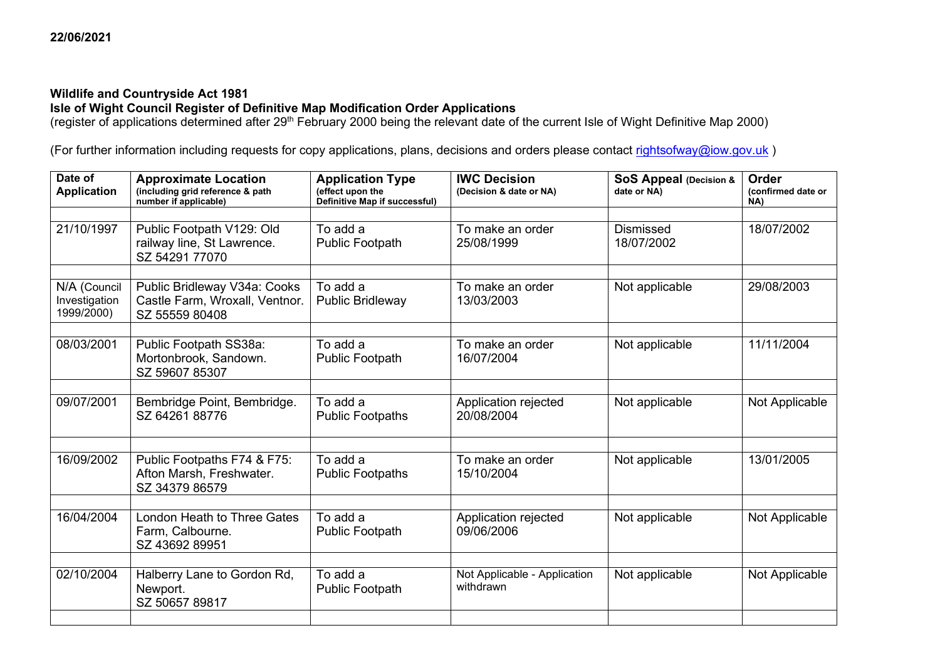## **Wildlife and Countryside Act 1981**

## **Isle of Wight Council Register of Definitive Map Modification Order Applications**

(register of applications determined after 29<sup>th</sup> February 2000 being the relevant date of the current Isle of Wight Definitive Map 2000)

(For further information including requests for copy applications, plans, decisions and orders please contact [rightsofway@iow.gov.uk](mailto:rightsofway@iow.gov.uk))

| Date of<br><b>Application</b>               | <b>Approximate Location</b><br>(including grid reference & path<br>number if applicable) | <b>Application Type</b><br>(effect upon the<br>Definitive Map if successful) | <b>IWC Decision</b><br>(Decision & date or NA) | SoS Appeal (Decision &<br>date or NA) | Order<br>(confirmed date or<br>NA) |
|---------------------------------------------|------------------------------------------------------------------------------------------|------------------------------------------------------------------------------|------------------------------------------------|---------------------------------------|------------------------------------|
|                                             |                                                                                          |                                                                              |                                                |                                       |                                    |
| 21/10/1997                                  | Public Footpath V129: Old<br>railway line, St Lawrence.<br>SZ 54291 77070                | To add a<br><b>Public Footpath</b>                                           | To make an order<br>25/08/1999                 | <b>Dismissed</b><br>18/07/2002        | 18/07/2002                         |
|                                             |                                                                                          |                                                                              |                                                |                                       |                                    |
| N/A (Council<br>Investigation<br>1999/2000) | Public Bridleway V34a: Cooks<br>Castle Farm, Wroxall, Ventnor.<br>SZ 55559 80408         | To add a<br><b>Public Bridleway</b>                                          | To make an order<br>13/03/2003                 | Not applicable                        | 29/08/2003                         |
|                                             |                                                                                          |                                                                              |                                                |                                       |                                    |
| 08/03/2001                                  | Public Footpath SS38a:<br>Mortonbrook, Sandown.<br>SZ 59607 85307                        | To add a<br><b>Public Footpath</b>                                           | To make an order<br>16/07/2004                 | Not applicable                        | 11/11/2004                         |
|                                             |                                                                                          |                                                                              |                                                |                                       |                                    |
| 09/07/2001                                  | Bembridge Point, Bembridge.<br>SZ 64261 88776                                            | To add a<br><b>Public Footpaths</b>                                          | Application rejected<br>20/08/2004             | Not applicable                        | Not Applicable                     |
|                                             |                                                                                          |                                                                              |                                                |                                       |                                    |
| 16/09/2002                                  | Public Footpaths F74 & F75:<br>Afton Marsh, Freshwater.<br>SZ 34379 86579                | To add a<br><b>Public Footpaths</b>                                          | To make an order<br>15/10/2004                 | Not applicable                        | 13/01/2005                         |
|                                             |                                                                                          |                                                                              |                                                |                                       |                                    |
| 16/04/2004                                  | <b>London Heath to Three Gates</b><br>Farm, Calbourne.<br>SZ 43692 89951                 | To add a<br>Public Footpath                                                  | Application rejected<br>09/06/2006             | Not applicable                        | Not Applicable                     |
|                                             |                                                                                          |                                                                              |                                                |                                       |                                    |
| 02/10/2004                                  | Halberry Lane to Gordon Rd,<br>Newport.<br>SZ 50657 89817                                | To add a<br><b>Public Footpath</b>                                           | Not Applicable - Application<br>withdrawn      | Not applicable                        | Not Applicable                     |
|                                             |                                                                                          |                                                                              |                                                |                                       |                                    |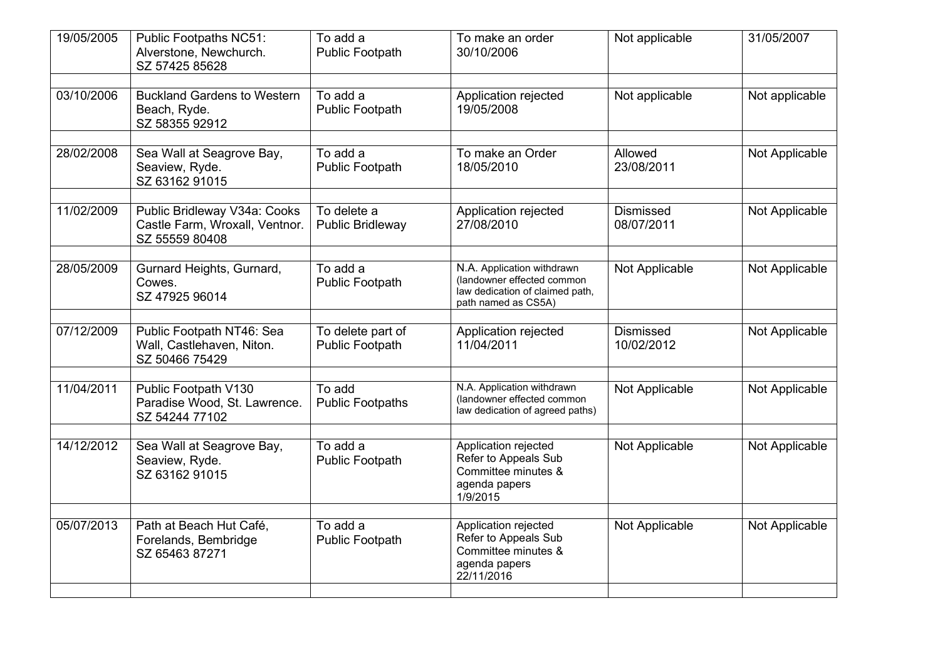| 19/05/2005 | Public Footpaths NC51:<br>Alverstone, Newchurch.<br>SZ 57425 85628               | To add a<br>Public Footpath          | To make an order<br>30/10/2006                                                                                     | Not applicable                 | 31/05/2007            |
|------------|----------------------------------------------------------------------------------|--------------------------------------|--------------------------------------------------------------------------------------------------------------------|--------------------------------|-----------------------|
| 03/10/2006 | <b>Buckland Gardens to Western</b><br>Beach, Ryde.<br>SZ 58355 92912             | To add a<br><b>Public Footpath</b>   | Application rejected<br>19/05/2008                                                                                 | Not applicable                 | Not applicable        |
| 28/02/2008 | Sea Wall at Seagrove Bay,<br>Seaview, Ryde.<br>SZ 63162 91015                    | To add a<br><b>Public Footpath</b>   | To make an Order<br>18/05/2010                                                                                     | Allowed<br>23/08/2011          | Not Applicable        |
| 11/02/2009 | Public Bridleway V34a: Cooks<br>Castle Farm, Wroxall, Ventnor.<br>SZ 55559 80408 | To delete a<br>Public Bridleway      | Application rejected<br>27/08/2010                                                                                 | <b>Dismissed</b><br>08/07/2011 | Not Applicable        |
| 28/05/2009 | Gurnard Heights, Gurnard,<br>Cowes.<br>SZ 47925 96014                            | To add a<br><b>Public Footpath</b>   | N.A. Application withdrawn<br>(landowner effected common<br>law dedication of claimed path,<br>path named as CS5A) | Not Applicable                 | <b>Not Applicable</b> |
| 07/12/2009 | Public Footpath NT46: Sea<br>Wall, Castlehaven, Niton.<br>SZ 50466 75429         | To delete part of<br>Public Footpath | Application rejected<br>11/04/2011                                                                                 | <b>Dismissed</b><br>10/02/2012 | Not Applicable        |
| 11/04/2011 | Public Footpath V130<br>Paradise Wood, St. Lawrence.<br>SZ 54244 77102           | To add<br><b>Public Footpaths</b>    | N.A. Application withdrawn<br>(landowner effected common<br>law dedication of agreed paths)                        | Not Applicable                 | Not Applicable        |
| 14/12/2012 | Sea Wall at Seagrove Bay,<br>Seaview, Ryde.<br>SZ 63162 91015                    | To add a<br>Public Footpath          | Application rejected<br>Refer to Appeals Sub<br>Committee minutes &<br>agenda papers<br>1/9/2015                   | Not Applicable                 | Not Applicable        |
| 05/07/2013 | Path at Beach Hut Café,<br>Forelands, Bembridge<br>SZ 65463 87271                | To add a<br><b>Public Footpath</b>   | Application rejected<br>Refer to Appeals Sub<br>Committee minutes &<br>agenda papers<br>22/11/2016                 | Not Applicable                 | Not Applicable        |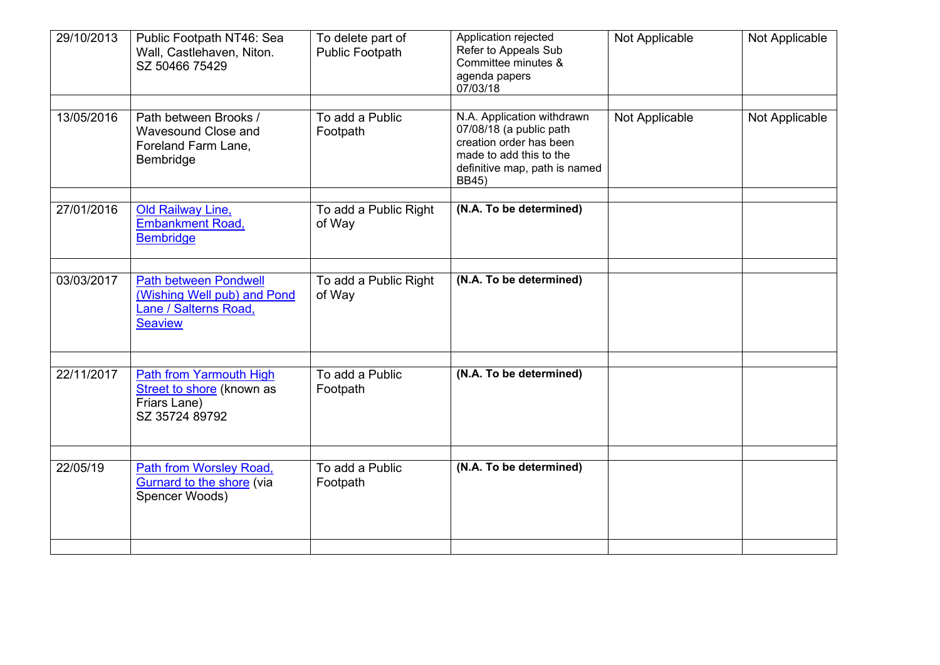| 29/10/2013 | Public Footpath NT46: Sea<br>Wall, Castlehaven, Niton.<br>SZ 50466 75429                               | To delete part of<br>Public Footpath | Application rejected<br>Refer to Appeals Sub<br>Committee minutes &<br>agenda papers<br>07/03/18                                                             | Not Applicable | Not Applicable |
|------------|--------------------------------------------------------------------------------------------------------|--------------------------------------|--------------------------------------------------------------------------------------------------------------------------------------------------------------|----------------|----------------|
| 13/05/2016 | Path between Brooks /<br>Wavesound Close and<br>Foreland Farm Lane,<br>Bembridge                       | To add a Public<br>Footpath          | N.A. Application withdrawn<br>07/08/18 (a public path<br>creation order has been<br>made to add this to the<br>definitive map, path is named<br><b>BB45)</b> | Not Applicable | Not Applicable |
| 27/01/2016 | Old Railway Line,<br><b>Embankment Road,</b><br><b>Bembridge</b>                                       | To add a Public Right<br>of Way      | (N.A. To be determined)                                                                                                                                      |                |                |
| 03/03/2017 | <b>Path between Pondwell</b><br>(Wishing Well pub) and Pond<br>Lane / Salterns Road,<br><b>Seaview</b> | To add a Public Right<br>of Way      | (N.A. To be determined)                                                                                                                                      |                |                |
| 22/11/2017 | Path from Yarmouth High<br>Street to shore (known as<br>Friars Lane)<br>SZ 35724 89792                 | To add a Public<br>Footpath          | (N.A. To be determined)                                                                                                                                      |                |                |
| 22/05/19   | Path from Worsley Road,<br>Gurnard to the shore (via<br>Spencer Woods)                                 | To add a Public<br>Footpath          | (N.A. To be determined)                                                                                                                                      |                |                |
|            |                                                                                                        |                                      |                                                                                                                                                              |                |                |